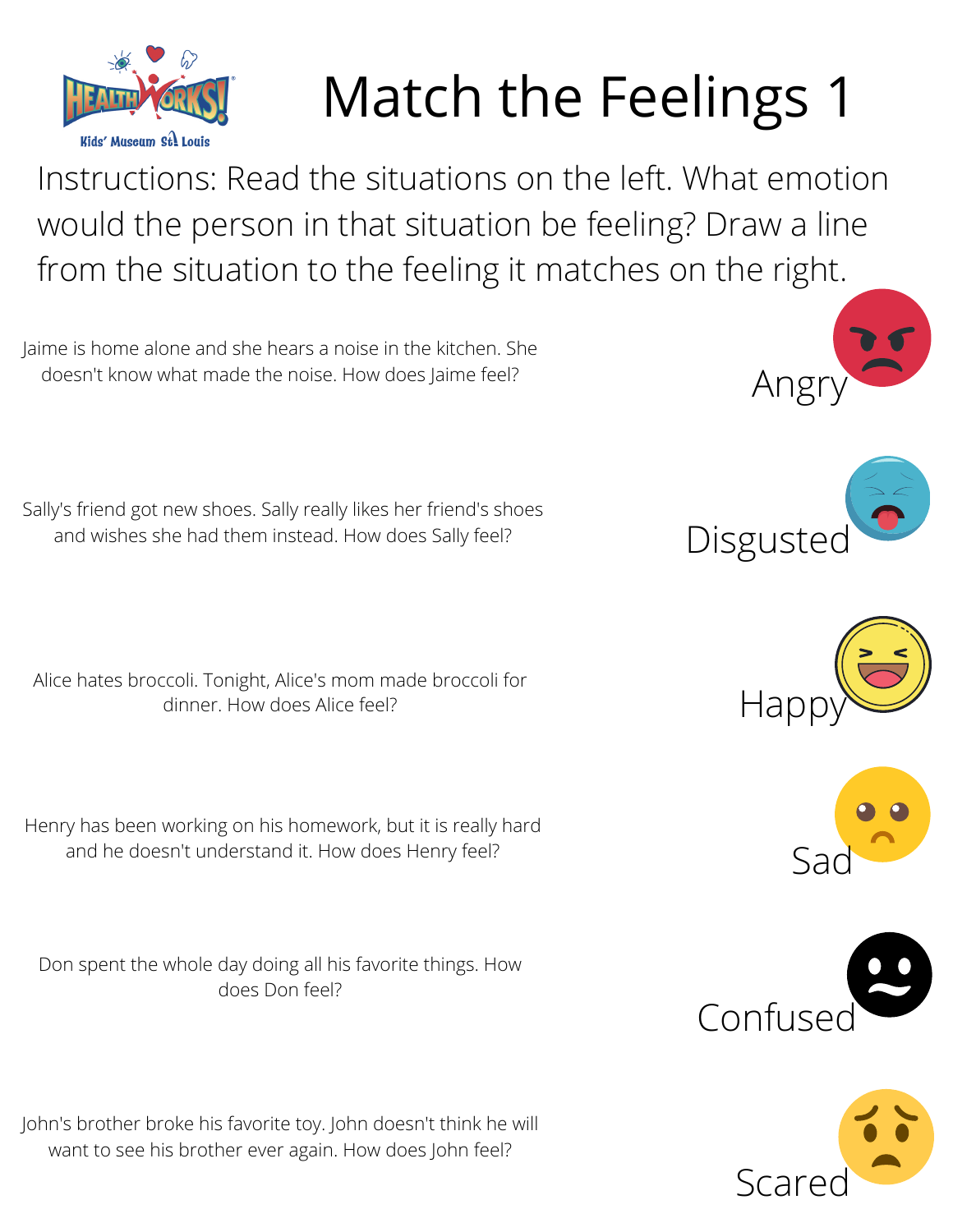

## Match the Feelings 1

Instructions: Read the situations on the left. What emotion would the person in that situation be feeling? Draw a line from the situation to the feeling it matches on the right.

Jaime is home alone and she hears a noise in the kitchen. She doesn't know what made the noise. How does Jaime feel?

Sally's friend got new shoes. Sally really likes her friend's shoes and wishes she had them instead. How does Sally feel?

Alice hates broccoli. Tonight, Alice's mom made broccoli for dinner. How does Alice feel?

Henry has been working on his homework, but it is really hard and he doesn't understand it. How does Henry feel?

Don spent the whole day doing all his favorite things. How does Don feel?

John's brother broke his favorite toy. John doesn't think he will want to see his brother ever again. How does John feel?